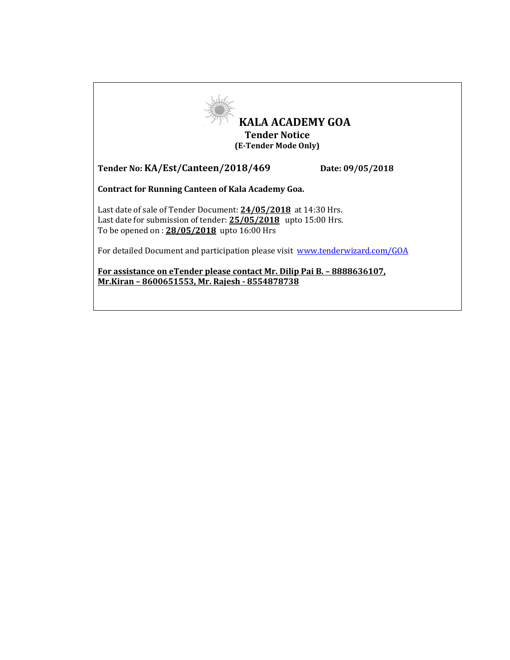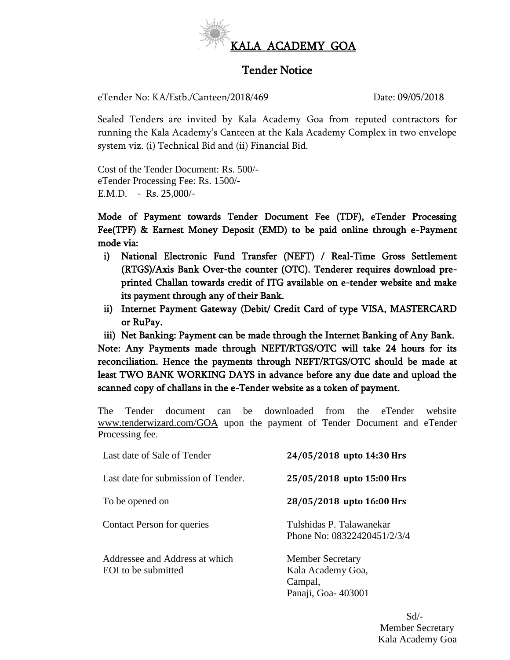

# Tender Notice

eTender No: KA/Estb./Canteen/2018/469 Date: 09/05/2018

Sealed Tenders are invited by Kala Academy Goa from reputed contractors for running the Kala Academy's Canteen at the Kala Academy Complex in two envelope system viz. (i) Technical Bid and (ii) Financial Bid.

Cost of the Tender Document: Rs. 500/ eTender Processing Fee: Rs. 1500/- E.M.D. - Rs. 25,000/-

Mode of Payment towards Tender Document Fee (TDF), eTender Processing Fee(TPF) & Earnest Money Deposit (EMD) to be paid online through e-Payment mode via:

- i) National Electronic Fund Transfer (NEFT) / Real-Time Gross Settlement (RTGS)/Axis Bank Over-the counter (OTC). Tenderer requires download preprinted Challan towards credit of ITG available on e-tender website and make its payment through any of their Bank.
- ii) Internet Payment Gateway (Debit/ Credit Card of type VISA, MASTERCARD or RuPay.

iii) Net Banking: Payment can be made through the Internet Banking of Any Bank. Note: Any Payments made through NEFT/RTGS/OTC will take 24 hours for its reconciliation. Hence the payments through NEFT/RTGS/OTC should be made at least TWO BANK WORKING DAYS in advance before any due date and upload the scanned copy of challans in the e-Tender website as a token of payment.

The Tender document can be downloaded from the eTender website [www.tenderwizard.com/GOA](http://www.tenderwizard.com/GOA) upon the payment of Tender Document and eTender Processing fee.

| Last date of Sale of Tender                           | 24/05/2018 upto 14:30 Hrs                                                     |
|-------------------------------------------------------|-------------------------------------------------------------------------------|
| Last date for submission of Tender.                   | 25/05/2018 upto 15:00 Hrs                                                     |
| To be opened on                                       | 28/05/2018 upto 16:00 Hrs                                                     |
| <b>Contact Person for queries</b>                     | Tulshidas P. Talawanekar<br>Phone No: 08322420451/2/3/4                       |
| Addressee and Address at which<br>EOI to be submitted | <b>Member Secretary</b><br>Kala Academy Goa,<br>Campal,<br>Panaji, Goa-403001 |

Sd/- Member Secretary Kala Academy Goa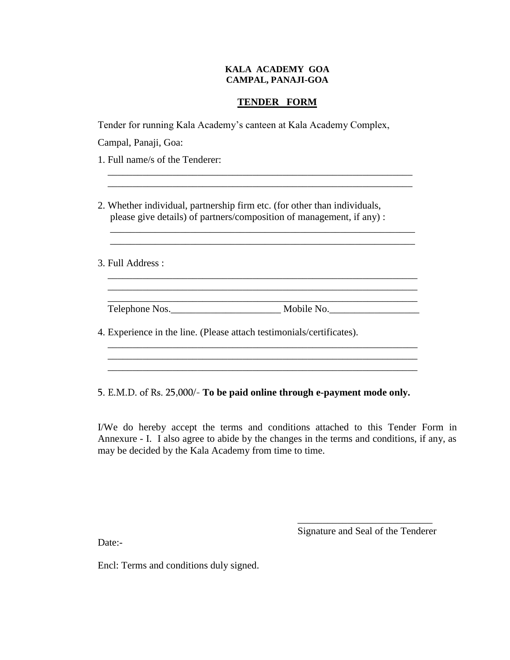#### **KALA ACADEMY GOA CAMPAL, PANAJI-GOA**

## **TENDER FORM**

Tender for running Kala Academy's canteen at Kala Academy Complex,

 $\overline{\phantom{a}}$  , and the contribution of the contribution of  $\overline{\phantom{a}}$  ,  $\overline{\phantom{a}}$  ,  $\overline{\phantom{a}}$  ,  $\overline{\phantom{a}}$  ,  $\overline{\phantom{a}}$  ,  $\overline{\phantom{a}}$  ,  $\overline{\phantom{a}}$  ,  $\overline{\phantom{a}}$  ,  $\overline{\phantom{a}}$  ,  $\overline{\phantom{a}}$  ,  $\overline{\phantom{a}}$  ,  $\overline{\phantom{a$  $\overline{\phantom{a}}$  ,  $\overline{\phantom{a}}$  ,  $\overline{\phantom{a}}$  ,  $\overline{\phantom{a}}$  ,  $\overline{\phantom{a}}$  ,  $\overline{\phantom{a}}$  ,  $\overline{\phantom{a}}$  ,  $\overline{\phantom{a}}$  ,  $\overline{\phantom{a}}$  ,  $\overline{\phantom{a}}$  ,  $\overline{\phantom{a}}$  ,  $\overline{\phantom{a}}$  ,  $\overline{\phantom{a}}$  ,  $\overline{\phantom{a}}$  ,  $\overline{\phantom{a}}$  ,  $\overline{\phantom{a}}$ 

\_\_\_\_\_\_\_\_\_\_\_\_\_\_\_\_\_\_\_\_\_\_\_\_\_\_\_\_\_\_\_\_\_\_\_\_\_\_\_\_\_\_\_\_\_\_\_\_\_\_\_\_\_\_\_\_\_\_\_\_\_

Campal, Panaji, Goa:

1. Full name/s of the Tenderer:

2. Whether individual, partnership firm etc. (for other than individuals, please give details) of partners/composition of management, if any) :

3. Full Address :

 $\overline{\phantom{a}}$  ,  $\overline{\phantom{a}}$  ,  $\overline{\phantom{a}}$  ,  $\overline{\phantom{a}}$  ,  $\overline{\phantom{a}}$  ,  $\overline{\phantom{a}}$  ,  $\overline{\phantom{a}}$  ,  $\overline{\phantom{a}}$  ,  $\overline{\phantom{a}}$  ,  $\overline{\phantom{a}}$  ,  $\overline{\phantom{a}}$  ,  $\overline{\phantom{a}}$  ,  $\overline{\phantom{a}}$  ,  $\overline{\phantom{a}}$  ,  $\overline{\phantom{a}}$  ,  $\overline{\phantom{a}}$ Telephone Nos.\_\_\_\_\_\_\_\_\_\_\_\_\_\_\_\_\_\_\_\_\_\_ Mobile No.\_\_\_\_\_\_\_\_\_\_\_\_\_\_\_\_\_\_

 \_\_\_\_\_\_\_\_\_\_\_\_\_\_\_\_\_\_\_\_\_\_\_\_\_\_\_\_\_\_\_\_\_\_\_\_\_\_\_\_\_\_\_\_\_\_\_\_\_\_\_\_\_\_\_\_\_\_\_\_\_\_ \_\_\_\_\_\_\_\_\_\_\_\_\_\_\_\_\_\_\_\_\_\_\_\_\_\_\_\_\_\_\_\_\_\_\_\_\_\_\_\_\_\_\_\_\_\_\_\_\_\_\_\_\_\_\_\_\_\_\_\_\_\_

4. Experience in the line. (Please attach testimonials/certificates).

5. E.M.D. of Rs. 25,000/- **To be paid online through e-payment mode only.** 

 \_\_\_\_\_\_\_\_\_\_\_\_\_\_\_\_\_\_\_\_\_\_\_\_\_\_\_\_\_\_\_\_\_\_\_\_\_\_\_\_\_\_\_\_\_\_\_\_\_\_\_\_\_\_\_\_\_\_\_\_\_\_  $\overline{\phantom{a}}$  ,  $\overline{\phantom{a}}$  ,  $\overline{\phantom{a}}$  ,  $\overline{\phantom{a}}$  ,  $\overline{\phantom{a}}$  ,  $\overline{\phantom{a}}$  ,  $\overline{\phantom{a}}$  ,  $\overline{\phantom{a}}$  ,  $\overline{\phantom{a}}$  ,  $\overline{\phantom{a}}$  ,  $\overline{\phantom{a}}$  ,  $\overline{\phantom{a}}$  ,  $\overline{\phantom{a}}$  ,  $\overline{\phantom{a}}$  ,  $\overline{\phantom{a}}$  ,  $\overline{\phantom{a}}$  $\overline{\phantom{a}}$  ,  $\overline{\phantom{a}}$  ,  $\overline{\phantom{a}}$  ,  $\overline{\phantom{a}}$  ,  $\overline{\phantom{a}}$  ,  $\overline{\phantom{a}}$  ,  $\overline{\phantom{a}}$  ,  $\overline{\phantom{a}}$  ,  $\overline{\phantom{a}}$  ,  $\overline{\phantom{a}}$  ,  $\overline{\phantom{a}}$  ,  $\overline{\phantom{a}}$  ,  $\overline{\phantom{a}}$  ,  $\overline{\phantom{a}}$  ,  $\overline{\phantom{a}}$  ,  $\overline{\phantom{a}}$ 

I/We do hereby accept the terms and conditions attached to this Tender Form in Annexure - I. I also agree to abide by the changes in the terms and conditions, if any, as may be decided by the Kala Academy from time to time.

 $\frac{1}{2}$  , and the contract of the contract of the contract of the contract of the contract of the contract of the contract of the contract of the contract of the contract of the contract of the contract of the contract

Signature and Seal of the Tenderer

Date:-

Encl: Terms and conditions duly signed.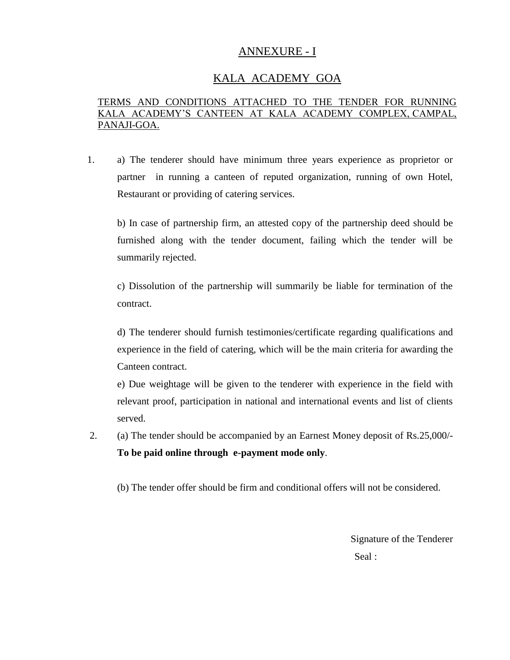# ANNEXURE - I

# KALA ACADEMY GOA

## TERMS AND CONDITIONS ATTACHED TO THE TENDER FOR RUNNING KALA ACADEMY'S CANTEEN AT KALA ACADEMY COMPLEX, CAMPAL, PANAJI-GOA.

1. a) The tenderer should have minimum three years experience as proprietor or partner in running a canteen of reputed organization, running of own Hotel, Restaurant or providing of catering services.

b) In case of partnership firm, an attested copy of the partnership deed should be furnished along with the tender document, failing which the tender will be summarily rejected.

c) Dissolution of the partnership will summarily be liable for termination of the contract.

d) The tenderer should furnish testimonies/certificate regarding qualifications and experience in the field of catering, which will be the main criteria for awarding the Canteen contract.

e) Due weightage will be given to the tenderer with experience in the field with relevant proof, participation in national and international events and list of clients served.

2. (a) The tender should be accompanied by an Earnest Money deposit of Rs.25,000/- **To be paid online through e-payment mode only**.

(b) The tender offer should be firm and conditional offers will not be considered.

Signature of the Tenderer Seal :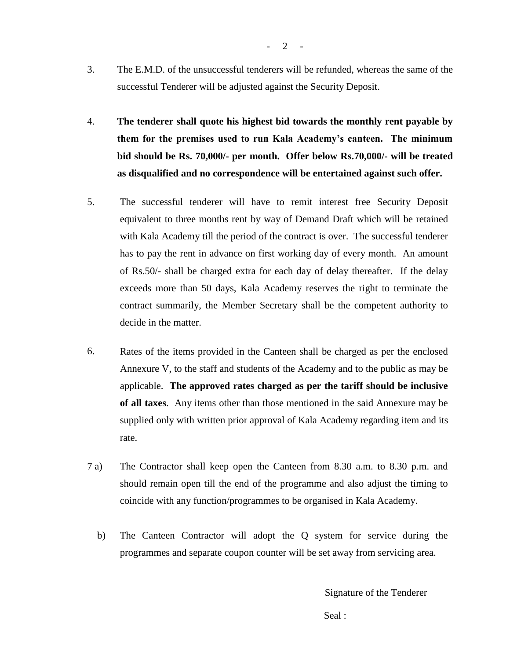- 3. The E.M.D. of the unsuccessful tenderers will be refunded, whereas the same of the successful Tenderer will be adjusted against the Security Deposit.
- 4. **The tenderer shall quote his highest bid towards the monthly rent payable by them for the premises used to run Kala Academy's canteen. The minimum bid should be Rs. 70,000/- per month. Offer below Rs.70,000/- will be treated as disqualified and no correspondence will be entertained against such offer.**
- 5. The successful tenderer will have to remit interest free Security Deposit equivalent to three months rent by way of Demand Draft which will be retained with Kala Academy till the period of the contract is over. The successful tenderer has to pay the rent in advance on first working day of every month. An amount of Rs.50/- shall be charged extra for each day of delay thereafter. If the delay exceeds more than 50 days, Kala Academy reserves the right to terminate the contract summarily, the Member Secretary shall be the competent authority to decide in the matter.
- 6. Rates of the items provided in the Canteen shall be charged as per the enclosed Annexure V, to the staff and students of the Academy and to the public as may be applicable. **The approved rates charged as per the tariff should be inclusive of all taxes**. Any items other than those mentioned in the said Annexure may be supplied only with written prior approval of Kala Academy regarding item and its rate.
- 7 a) The Contractor shall keep open the Canteen from 8.30 a.m. to 8.30 p.m. and should remain open till the end of the programme and also adjust the timing to coincide with any function/programmes to be organised in Kala Academy.
	- b) The Canteen Contractor will adopt the Q system for service during the programmes and separate coupon counter will be set away from servicing area.

Signature of the Tenderer

Seal :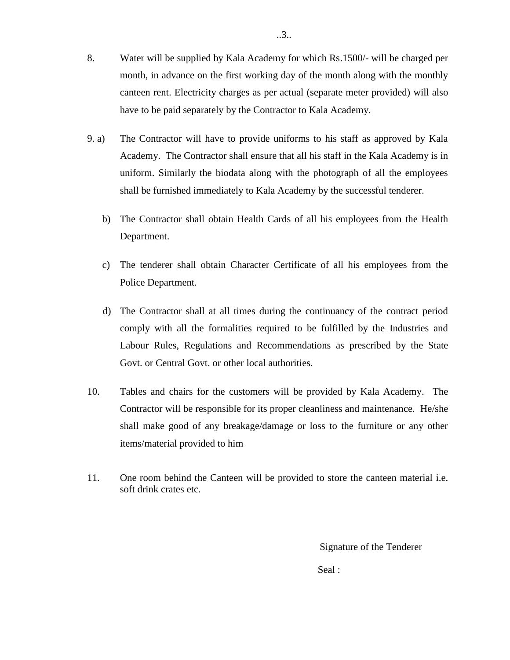- 8. Water will be supplied by Kala Academy for which Rs.1500/- will be charged per month, in advance on the first working day of the month along with the monthly canteen rent. Electricity charges as per actual (separate meter provided) will also have to be paid separately by the Contractor to Kala Academy.
- 9. a) The Contractor will have to provide uniforms to his staff as approved by Kala Academy. The Contractor shall ensure that all his staff in the Kala Academy is in uniform. Similarly the biodata along with the photograph of all the employees shall be furnished immediately to Kala Academy by the successful tenderer.
- b) The Contractor shall obtain Health Cards of all his employees from the Health Department.
- c) The tenderer shall obtain Character Certificate of all his employees from the Police Department.
	- d) The Contractor shall at all times during the continuancy of the contract period comply with all the formalities required to be fulfilled by the Industries and Labour Rules, Regulations and Recommendations as prescribed by the State Govt. or Central Govt. or other local authorities.
- 10. Tables and chairs for the customers will be provided by Kala Academy. The Contractor will be responsible for its proper cleanliness and maintenance. He/she shall make good of any breakage/damage or loss to the furniture or any other items/material provided to him
- 11. One room behind the Canteen will be provided to store the canteen material i.e. soft drink crates etc.

Signature of the Tenderer

Seal :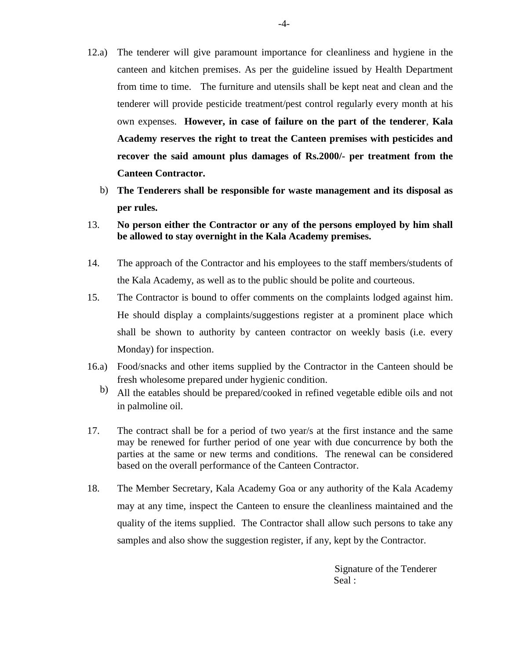- 12.a) The tenderer will give paramount importance for cleanliness and hygiene in the canteen and kitchen premises. As per the guideline issued by Health Department from time to time. The furniture and utensils shall be kept neat and clean and the tenderer will provide pesticide treatment/pest control regularly every month at his own expenses. **However, in case of failure on the part of the tenderer**, **Kala Academy reserves the right to treat the Canteen premises with pesticides and recover the said amount plus damages of Rs.2000/- per treatment from the Canteen Contractor.**
	- b) **The Tenderers shall be responsible for waste management and its disposal as per rules.**
- 13. **No person either the Contractor or any of the persons employed by him shall be allowed to stay overnight in the Kala Academy premises.**
- 14. The approach of the Contractor and his employees to the staff members/students of the Kala Academy, as well as to the public should be polite and courteous.
- 15. The Contractor is bound to offer comments on the complaints lodged against him. He should display a complaints/suggestions register at a prominent place which shall be shown to authority by canteen contractor on weekly basis (i.e. every Monday) for inspection.
- 16.a) Food/snacks and other items supplied by the Contractor in the Canteen should be fresh wholesome prepared under hygienic condition.
	- b) All the eatables should be prepared/cooked in refined vegetable edible oils and not in palmoline oil.
- 17. The contract shall be for a period of two year/s at the first instance and the same may be renewed for further period of one year with due concurrence by both the parties at the same or new terms and conditions. The renewal can be considered based on the overall performance of the Canteen Contractor.
- 18. The Member Secretary, Kala Academy Goa or any authority of the Kala Academy may at any time, inspect the Canteen to ensure the cleanliness maintained and the quality of the items supplied. The Contractor shall allow such persons to take any samples and also show the suggestion register, if any, kept by the Contractor.

 Signature of the Tenderer Seal :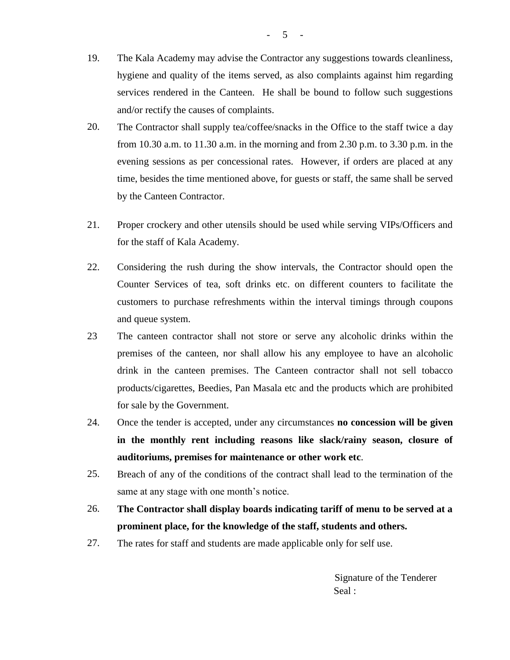- 19. The Kala Academy may advise the Contractor any suggestions towards cleanliness, hygiene and quality of the items served, as also complaints against him regarding services rendered in the Canteen. He shall be bound to follow such suggestions and/or rectify the causes of complaints.
- 20. The Contractor shall supply tea/coffee/snacks in the Office to the staff twice a day from 10.30 a.m. to 11.30 a.m. in the morning and from 2.30 p.m. to 3.30 p.m. in the evening sessions as per concessional rates. However, if orders are placed at any time, besides the time mentioned above, for guests or staff, the same shall be served by the Canteen Contractor.
- 21. Proper crockery and other utensils should be used while serving VIPs/Officers and for the staff of Kala Academy.
- 22. Considering the rush during the show intervals, the Contractor should open the Counter Services of tea, soft drinks etc. on different counters to facilitate the customers to purchase refreshments within the interval timings through coupons and queue system.
- 23 The canteen contractor shall not store or serve any alcoholic drinks within the premises of the canteen, nor shall allow his any employee to have an alcoholic drink in the canteen premises. The Canteen contractor shall not sell tobacco products/cigarettes, Beedies, Pan Masala etc and the products which are prohibited for sale by the Government.
- 24. Once the tender is accepted, under any circumstances **no concession will be given in the monthly rent including reasons like slack/rainy season, closure of auditoriums, premises for maintenance or other work etc**.
- 25. Breach of any of the conditions of the contract shall lead to the termination of the same at any stage with one month's notice.
- 26. **The Contractor shall display boards indicating tariff of menu to be served at a prominent place, for the knowledge of the staff, students and others.**
- 27. The rates for staff and students are made applicable only for self use.

 Signature of the Tenderer Seal :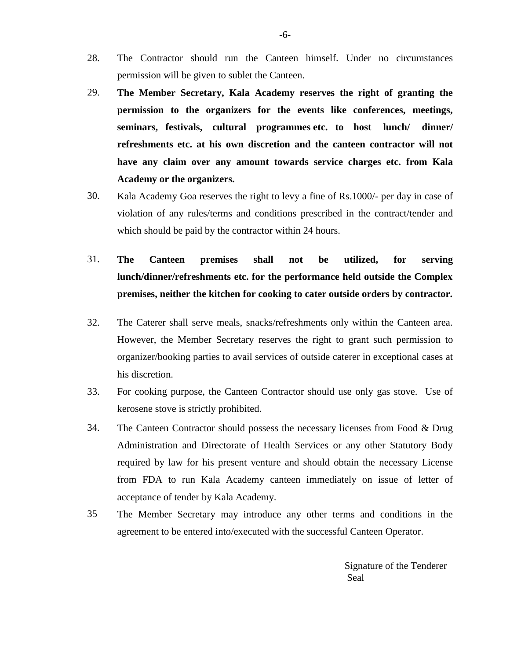- 28. The Contractor should run the Canteen himself. Under no circumstances permission will be given to sublet the Canteen.
- 29. **The Member Secretary, Kala Academy reserves the right of granting the permission to the organizers for the events like conferences, meetings, seminars, festivals, cultural programmes etc. to host lunch/ dinner/ refreshments etc. at his own discretion and the canteen contractor will not have any claim over any amount towards service charges etc. from Kala Academy or the organizers.**
- 30. Kala Academy Goa reserves the right to levy a fine of Rs.1000/- per day in case of violation of any rules/terms and conditions prescribed in the contract/tender and which should be paid by the contractor within 24 hours.
- 31. **The Canteen premises shall not be utilized, for serving lunch/dinner/refreshments etc. for the performance held outside the Complex premises, neither the kitchen for cooking to cater outside orders by contractor.**
- 32. The Caterer shall serve meals, snacks/refreshments only within the Canteen area. However, the Member Secretary reserves the right to grant such permission to organizer/booking parties to avail services of outside caterer in exceptional cases at his discretion.
- 33. For cooking purpose, the Canteen Contractor should use only gas stove. Use of kerosene stove is strictly prohibited.
- 34. The Canteen Contractor should possess the necessary licenses from Food & Drug Administration and Directorate of Health Services or any other Statutory Body required by law for his present venture and should obtain the necessary License from FDA to run Kala Academy canteen immediately on issue of letter of acceptance of tender by Kala Academy.
- 35 The Member Secretary may introduce any other terms and conditions in the agreement to be entered into/executed with the successful Canteen Operator.

 Signature of the Tenderer Seal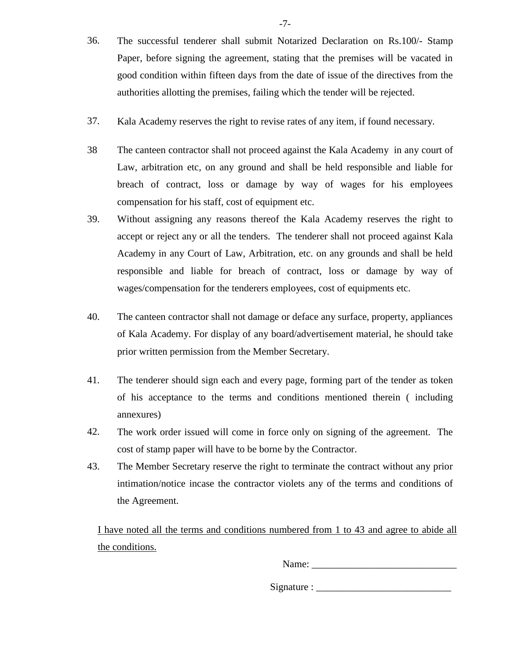- 36. The successful tenderer shall submit Notarized Declaration on Rs.100/- Stamp Paper, before signing the agreement, stating that the premises will be vacated in good condition within fifteen days from the date of issue of the directives from the authorities allotting the premises, failing which the tender will be rejected.
- 37. Kala Academy reserves the right to revise rates of any item, if found necessary.
- 38 The canteen contractor shall not proceed against the Kala Academy in any court of Law, arbitration etc, on any ground and shall be held responsible and liable for breach of contract, loss or damage by way of wages for his employees compensation for his staff, cost of equipment etc.
- 39. Without assigning any reasons thereof the Kala Academy reserves the right to accept or reject any or all the tenders. The tenderer shall not proceed against Kala Academy in any Court of Law, Arbitration, etc. on any grounds and shall be held responsible and liable for breach of contract, loss or damage by way of wages/compensation for the tenderers employees, cost of equipments etc.
- 40. The canteen contractor shall not damage or deface any surface, property, appliances of Kala Academy. For display of any board/advertisement material, he should take prior written permission from the Member Secretary.
- 41. The tenderer should sign each and every page, forming part of the tender as token of his acceptance to the terms and conditions mentioned therein ( including annexures)
- 42. The work order issued will come in force only on signing of the agreement. The cost of stamp paper will have to be borne by the Contractor.
- 43. The Member Secretary reserve the right to terminate the contract without any prior intimation/notice incase the contractor violets any of the terms and conditions of the Agreement.

I have noted all the terms and conditions numbered from 1 to 43 and agree to abide all the conditions.

Name: \_\_\_\_\_\_\_\_\_\_\_\_\_\_\_\_\_\_\_\_\_\_\_\_\_\_\_\_\_

 $Signature:$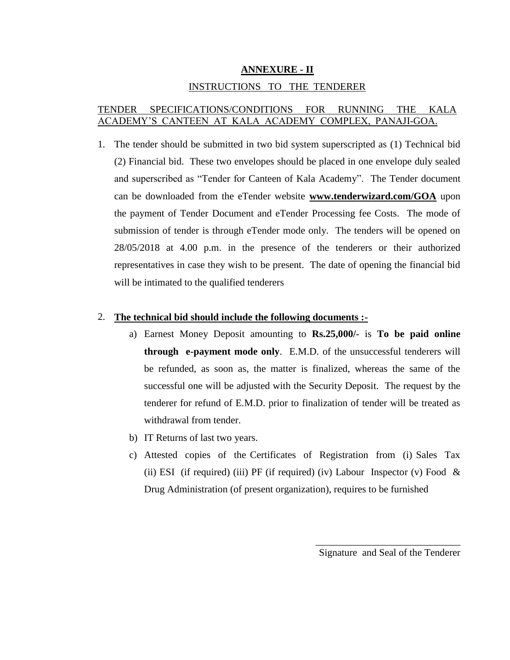## **ANNEXURE - II**

## INSTRUCTIONS TO THE TENDERER

## TENDER SPECIFICATIONS/CONDITIONS FOR RUNNING THE KALA ACADEMY'S CANTEEN AT KALA ACADEMY COMPLEX, PANAJI-GOA.

1. The tender should be submitted in two bid system superscripted as (1) Technical bid (2) Financial bid. These two envelopes should be placed in one envelope duly sealed and superscribed as "Tender for Canteen of Kala Academy". The Tender document can be downloaded from the eTender website **[www.tenderwizard.com/GOA](http://www.tenderwizard.com/GOA)** upon the payment of Tender Document and eTender Processing fee Costs. The mode of submission of tender is through eTender mode only. The tenders will be opened on 28/05/2018 at 4.00 p.m. in the presence of the tenderers or their authorized representatives in case they wish to be present. The date of opening the financial bid will be intimated to the qualified tenderers

#### 2. **The technical bid should include the following documents :-**

- a) Earnest Money Deposit amounting to **Rs.25,000/-** is **To be paid online through e-payment mode only**. E.M.D. of the unsuccessful tenderers will be refunded, as soon as, the matter is finalized, whereas the same of the successful one will be adjusted with the Security Deposit. The request by the tenderer for refund of E.M.D. prior to finalization of tender will be treated as withdrawal from tender.
- b) IT Returns of last two years.
- c) Attested copies of the Certificates of Registration from (i) Sales Tax (ii) ESI (if required) (iii) PF (if required) (iv) Labour Inspector (v) Food  $\&$ Drug Administration (of present organization), requires to be furnished

\_\_\_\_\_\_\_\_\_\_\_\_\_\_\_\_\_\_\_\_\_\_\_\_\_\_\_\_\_ Signature and Seal of the Tenderer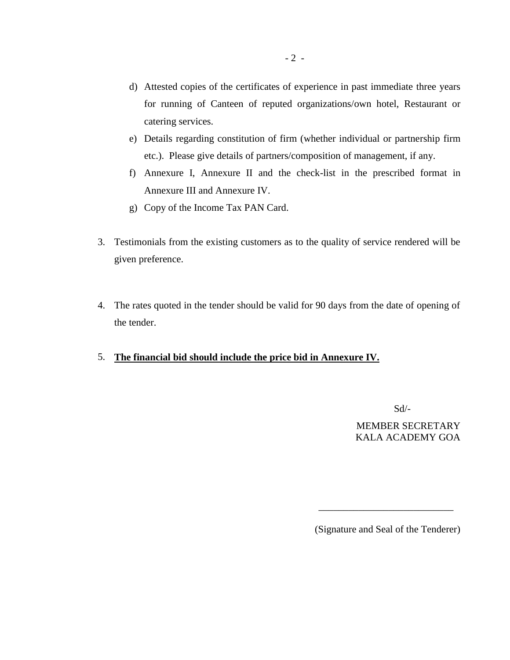- d) Attested copies of the certificates of experience in past immediate three years for running of Canteen of reputed organizations/own hotel, Restaurant or catering services.
- e) Details regarding constitution of firm (whether individual or partnership firm etc.). Please give details of partners/composition of management, if any.
- f) Annexure I, Annexure II and the check-list in the prescribed format in Annexure III and Annexure IV.
- g) Copy of the Income Tax PAN Card.
- 3. Testimonials from the existing customers as to the quality of service rendered will be given preference.
- 4. The rates quoted in the tender should be valid for 90 days from the date of opening of the tender.

 $\overline{\phantom{a}}$  , and the contract of the contract of the contract of the contract of the contract of the contract of the contract of the contract of the contract of the contract of the contract of the contract of the contrac

## 5. **The financial bid should include the price bid in Annexure IV.**

Sd/-

MEMBER SECRETARY KALA ACADEMY GOA

(Signature and Seal of the Tenderer)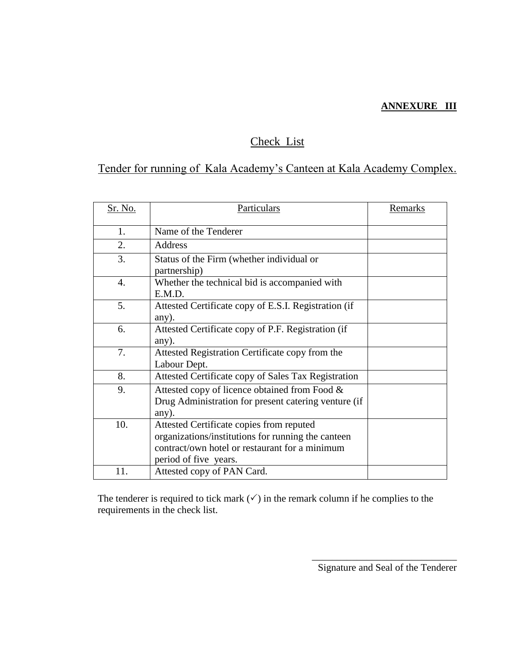## **ANNEXURE III**

# Check List

# Tender for running of Kala Academy's Canteen at Kala Academy Complex.

| Sr. No. | Particulars                                                                                                                                                               | <b>Remarks</b> |
|---------|---------------------------------------------------------------------------------------------------------------------------------------------------------------------------|----------------|
| 1.      | Name of the Tenderer                                                                                                                                                      |                |
| 2.      | Address                                                                                                                                                                   |                |
| 3.      | Status of the Firm (whether individual or<br>partnership)                                                                                                                 |                |
| 4.      | Whether the technical bid is accompanied with<br>E.M.D.                                                                                                                   |                |
| 5.      | Attested Certificate copy of E.S.I. Registration (if<br>any).                                                                                                             |                |
| 6.      | Attested Certificate copy of P.F. Registration (if<br>any).                                                                                                               |                |
| 7.      | Attested Registration Certificate copy from the<br>Labour Dept.                                                                                                           |                |
| 8.      | Attested Certificate copy of Sales Tax Registration                                                                                                                       |                |
| 9.      | Attested copy of licence obtained from Food &<br>Drug Administration for present catering venture (if<br>any).                                                            |                |
| 10.     | Attested Certificate copies from reputed<br>organizations/institutions for running the canteen<br>contract/own hotel or restaurant for a minimum<br>period of five years. |                |
| 11.     | Attested copy of PAN Card.                                                                                                                                                |                |

The tenderer is required to tick mark  $(\checkmark)$  in the remark column if he complies to the requirements in the check list.

> \_\_\_\_\_\_\_\_\_\_\_\_\_\_\_\_\_\_\_\_\_\_\_\_\_\_\_\_\_ Signature and Seal of the Tenderer